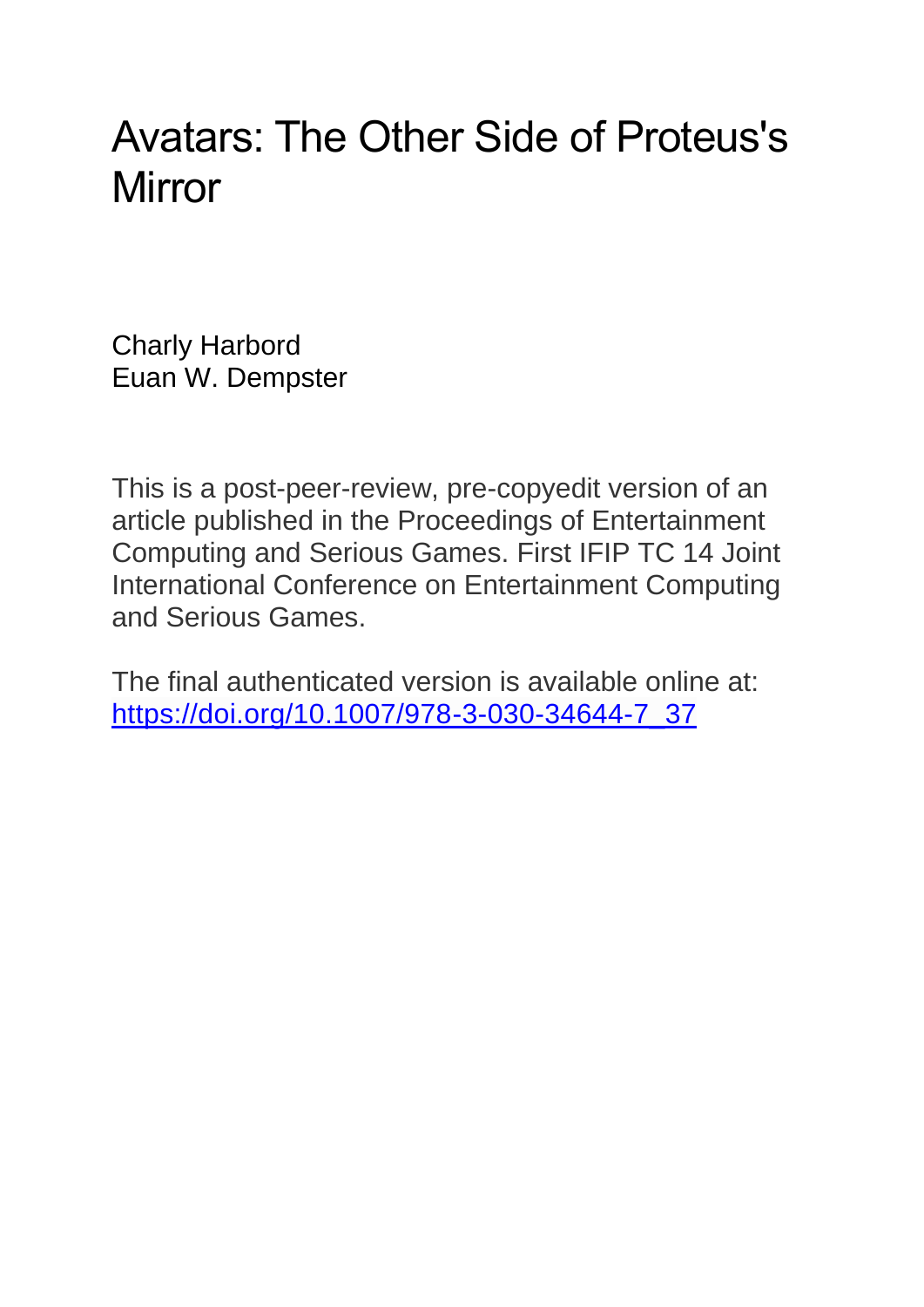# Avatars: The Other Side of Proteus's **Mirror**

Charly Harbord Euan W. Dempster

This is a post-peer-review, pre-copyedit version of an article published in the Proceedings of Entertainment Computing and Serious Games. First IFIP TC 14 Joint International Conference on Entertainment Computing and Serious Games.

The final authenticated version is available online at: [https://doi.org/10.1007/978-3-030-34644-7\\_37](https://doi.org/10.1007/978-3-030-34644-7_37)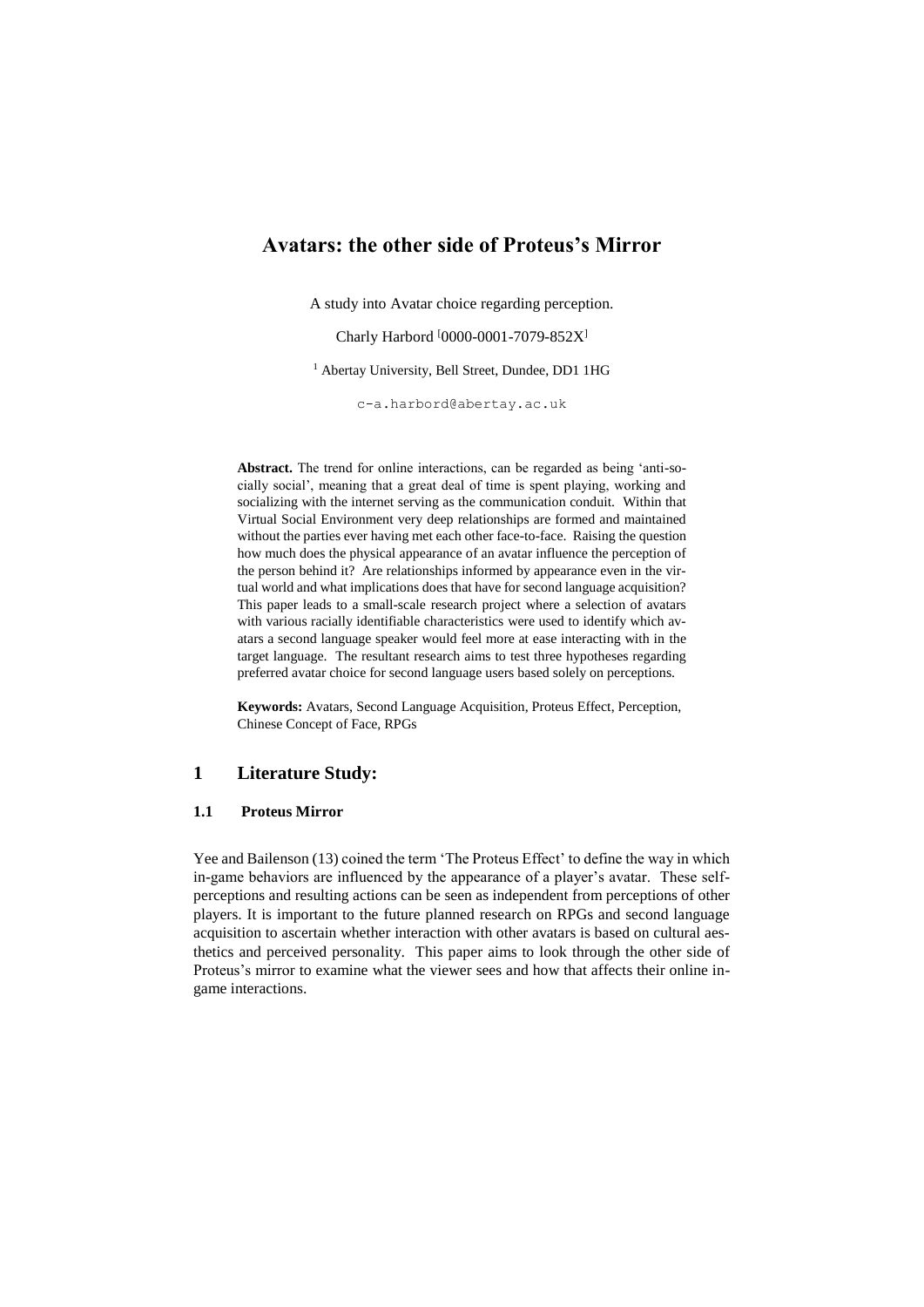## **Avatars: the other side of Proteus's Mirror**

A study into Avatar choice regarding perception.

Charly Harbord <sup>[0000-0001-7079-852X]</sup>

<sup>1</sup> Abertay University, Bell Street, Dundee, DD1 1HG

[c-a.harbord@abertay.ac.uk](mailto:c-a.harbord@abertay.ac.uk)

**Abstract.** The trend for online interactions, can be regarded as being 'anti-socially social', meaning that a great deal of time is spent playing, working and socializing with the internet serving as the communication conduit. Within that Virtual Social Environment very deep relationships are formed and maintained without the parties ever having met each other face-to-face. Raising the question how much does the physical appearance of an avatar influence the perception of the person behind it? Are relationships informed by appearance even in the virtual world and what implications does that have for second language acquisition? This paper leads to a small-scale research project where a selection of avatars with various racially identifiable characteristics were used to identify which avatars a second language speaker would feel more at ease interacting with in the target language. The resultant research aims to test three hypotheses regarding preferred avatar choice for second language users based solely on perceptions.

**Keywords:** Avatars, Second Language Acquisition, Proteus Effect, Perception, Chinese Concept of Face, RPGs

## **1 Literature Study:**

#### **1.1 Proteus Mirror**

Yee and Bailenson (13) coined the term 'The Proteus Effect' to define the way in which in-game behaviors are influenced by the appearance of a player's avatar. These selfperceptions and resulting actions can be seen as independent from perceptions of other players. It is important to the future planned research on RPGs and second language acquisition to ascertain whether interaction with other avatars is based on cultural aesthetics and perceived personality. This paper aims to look through the other side of Proteus's mirror to examine what the viewer sees and how that affects their online ingame interactions.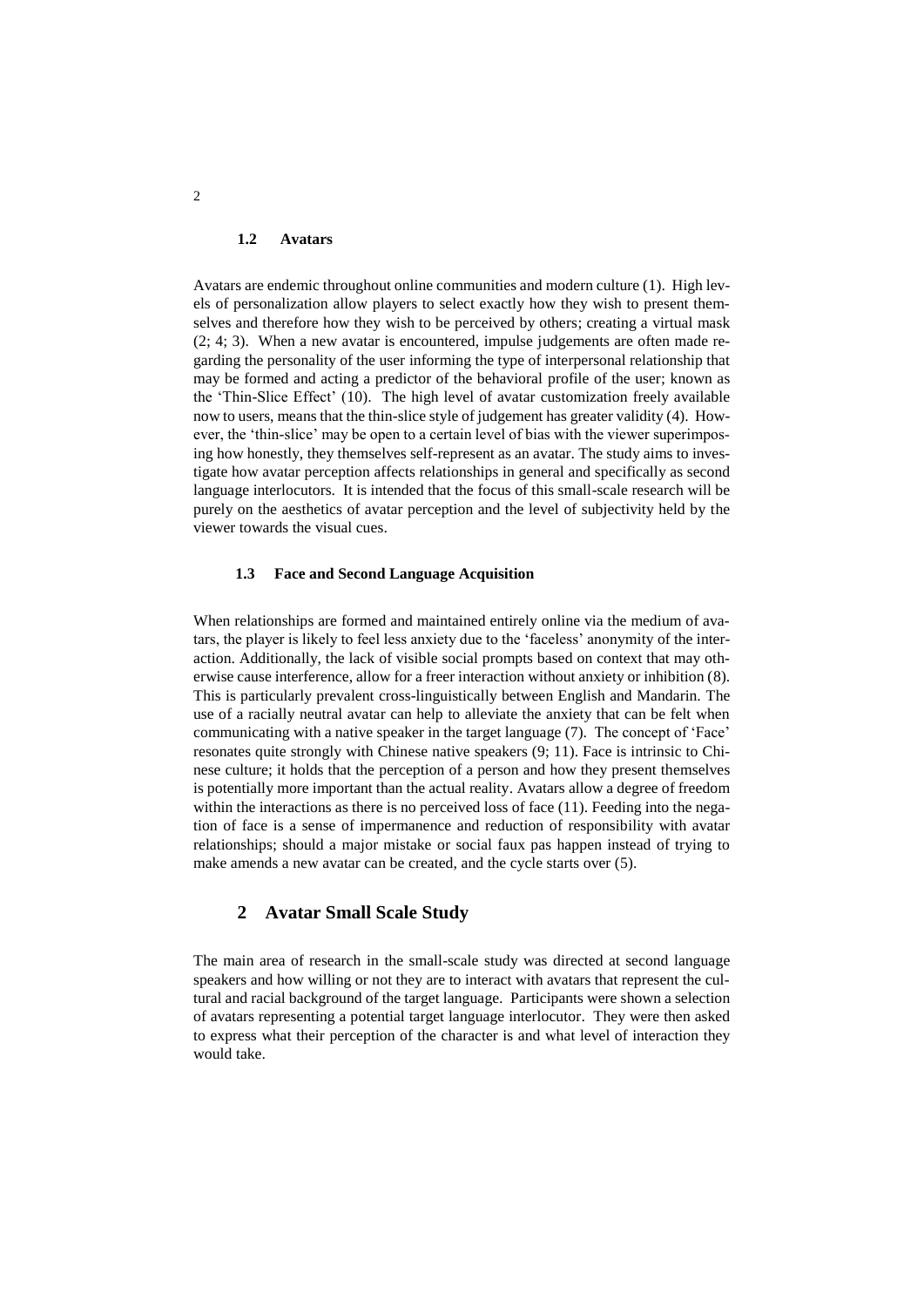#### **1.2 Avatars**

Avatars are endemic throughout online communities and modern culture (1). High levels of personalization allow players to select exactly how they wish to present themselves and therefore how they wish to be perceived by others; creating a virtual mask (2; 4; 3). When a new avatar is encountered, impulse judgements are often made regarding the personality of the user informing the type of interpersonal relationship that may be formed and acting a predictor of the behavioral profile of the user; known as the 'Thin-Slice Effect' (10). The high level of avatar customization freely available now to users, means that the thin-slice style of judgement has greater validity (4). However, the 'thin-slice' may be open to a certain level of bias with the viewer superimposing how honestly, they themselves self-represent as an avatar. The study aims to investigate how avatar perception affects relationships in general and specifically as second language interlocutors. It is intended that the focus of this small-scale research will be purely on the aesthetics of avatar perception and the level of subjectivity held by the viewer towards the visual cues.

#### **1.3 Face and Second Language Acquisition**

When relationships are formed and maintained entirely online via the medium of avatars, the player is likely to feel less anxiety due to the 'faceless' anonymity of the interaction. Additionally, the lack of visible social prompts based on context that may otherwise cause interference, allow for a freer interaction without anxiety or inhibition (8). This is particularly prevalent cross-linguistically between English and Mandarin. The use of a racially neutral avatar can help to alleviate the anxiety that can be felt when communicating with a native speaker in the target language (7). The concept of 'Face' resonates quite strongly with Chinese native speakers (9; 11). Face is intrinsic to Chinese culture; it holds that the perception of a person and how they present themselves is potentially more important than the actual reality. Avatars allow a degree of freedom within the interactions as there is no perceived loss of face (11). Feeding into the negation of face is a sense of impermanence and reduction of responsibility with avatar relationships; should a major mistake or social faux pas happen instead of trying to make amends a new avatar can be created, and the cycle starts over (5).

## **2 Avatar Small Scale Study**

The main area of research in the small-scale study was directed at second language speakers and how willing or not they are to interact with avatars that represent the cultural and racial background of the target language. Participants were shown a selection of avatars representing a potential target language interlocutor. They were then asked to express what their perception of the character is and what level of interaction they would take.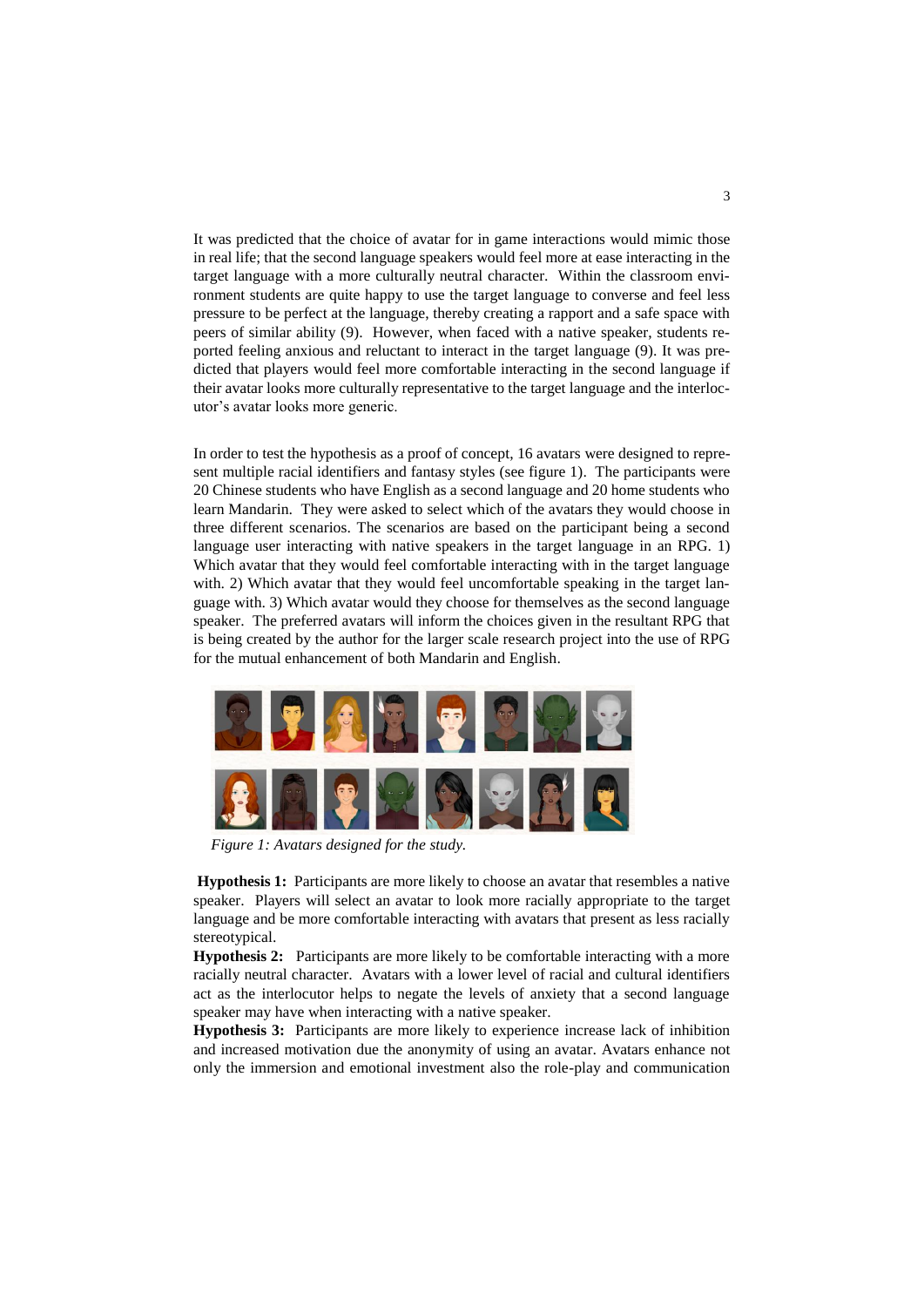It was predicted that the choice of avatar for in game interactions would mimic those in real life; that the second language speakers would feel more at ease interacting in the target language with a more culturally neutral character. Within the classroom environment students are quite happy to use the target language to converse and feel less pressure to be perfect at the language, thereby creating a rapport and a safe space with peers of similar ability (9). However, when faced with a native speaker, students reported feeling anxious and reluctant to interact in the target language (9). It was predicted that players would feel more comfortable interacting in the second language if their avatar looks more culturally representative to the target language and the interlocutor's avatar looks more generic.

In order to test the hypothesis as a proof of concept, 16 avatars were designed to represent multiple racial identifiers and fantasy styles (see figure 1). The participants were 20 Chinese students who have English as a second language and 20 home students who learn Mandarin. They were asked to select which of the avatars they would choose in three different scenarios. The scenarios are based on the participant being a second language user interacting with native speakers in the target language in an RPG. 1) Which avatar that they would feel comfortable interacting with in the target language with. 2) Which avatar that they would feel uncomfortable speaking in the target language with. 3) Which avatar would they choose for themselves as the second language speaker. The preferred avatars will inform the choices given in the resultant RPG that is being created by the author for the larger scale research project into the use of RPG for the mutual enhancement of both Mandarin and English.



*Figure 1: Avatars designed for the study.*

**Hypothesis 1:** Participants are more likely to choose an avatar that resembles a native speaker. Players will select an avatar to look more racially appropriate to the target language and be more comfortable interacting with avatars that present as less racially stereotypical.

**Hypothesis 2:** Participants are more likely to be comfortable interacting with a more racially neutral character. Avatars with a lower level of racial and cultural identifiers act as the interlocutor helps to negate the levels of anxiety that a second language speaker may have when interacting with a native speaker.

**Hypothesis 3:** Participants are more likely to experience increase lack of inhibition and increased motivation due the anonymity of using an avatar. Avatars enhance not only the immersion and emotional investment also the role-play and communication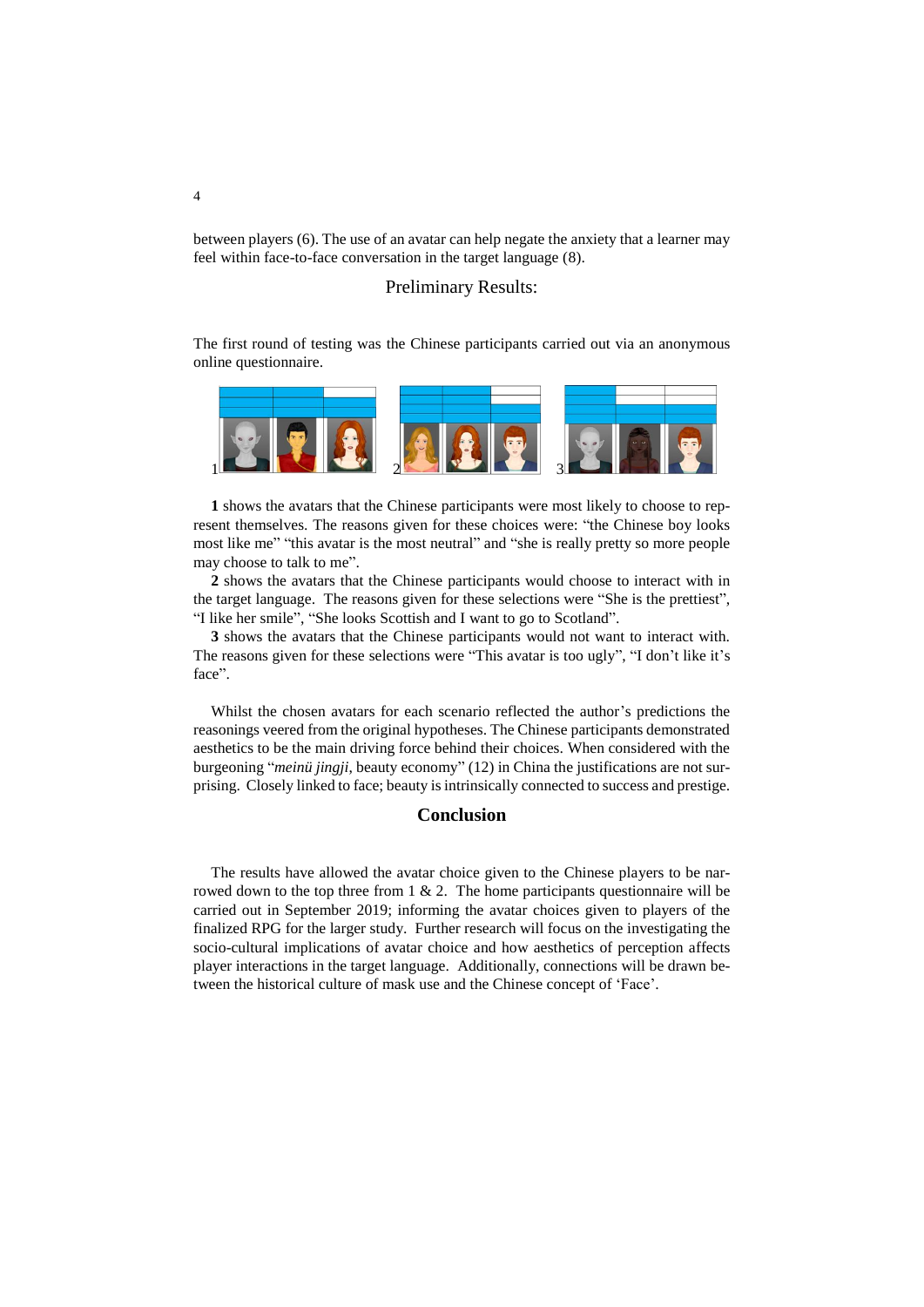between players (6). The use of an avatar can help negate the anxiety that a learner may feel within face-to-face conversation in the target language (8).

#### Preliminary Results:

The first round of testing was the Chinese participants carried out via an anonymous online questionnaire.



**1** shows the avatars that the Chinese participants were most likely to choose to represent themselves. The reasons given for these choices were: "the Chinese boy looks most like me" "this avatar is the most neutral" and "she is really pretty so more people may choose to talk to me".

**2** shows the avatars that the Chinese participants would choose to interact with in the target language. The reasons given for these selections were "She is the prettiest", "I like her smile", "She looks Scottish and I want to go to Scotland".

**3** shows the avatars that the Chinese participants would not want to interact with. The reasons given for these selections were "This avatar is too ugly", "I don't like it's face".

Whilst the chosen avatars for each scenario reflected the author's predictions the reasonings veered from the original hypotheses. The Chinese participants demonstrated aesthetics to be the main driving force behind their choices. When considered with the burgeoning "*meinü jingji*, beauty economy" (12) in China the justifications are not surprising. Closely linked to face; beauty is intrinsically connected to success and prestige.

#### **Conclusion**

The results have allowed the avatar choice given to the Chinese players to be narrowed down to the top three from  $1 \& 2$ . The home participants questionnaire will be carried out in September 2019; informing the avatar choices given to players of the finalized RPG for the larger study. Further research will focus on the investigating the socio-cultural implications of avatar choice and how aesthetics of perception affects player interactions in the target language. Additionally, connections will be drawn between the historical culture of mask use and the Chinese concept of 'Face'.